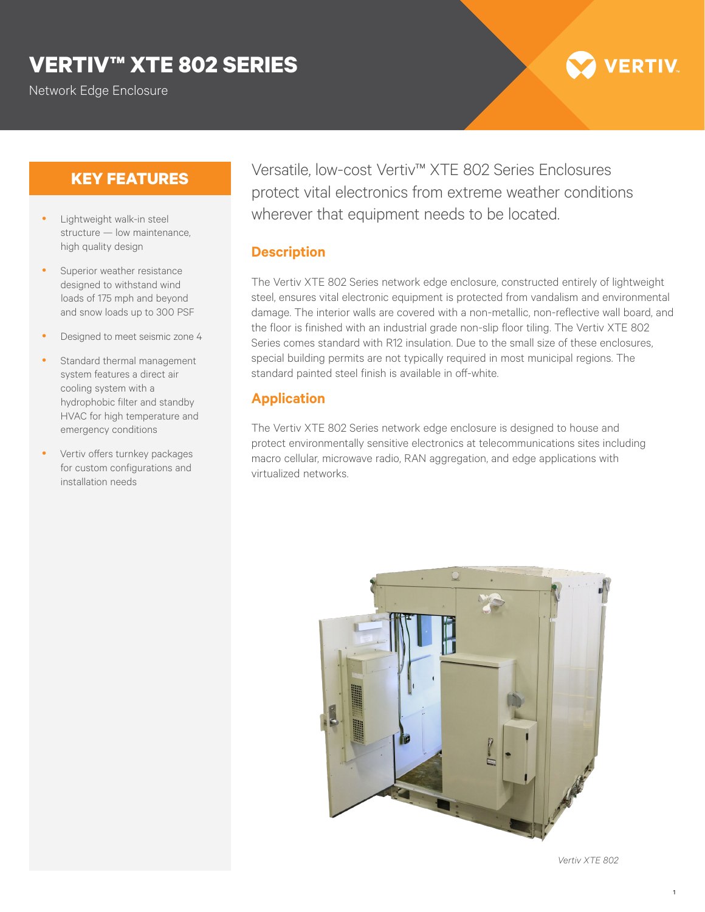## **VERTIV™ XTE 802 SERIES**

Network Edge Enclosure

# **VERTIV**

### **KEY FEATURES**

- Lightweight walk-in steel structure — low maintenance, high quality design
- Superior weather resistance designed to withstand wind loads of 175 mph and beyond and snow loads up to 300 PSF
- Designed to meet seismic zone 4
- Standard thermal management system features a direct air cooling system with a hydrophobic filter and standby HVAC for high temperature and emergency conditions
- Vertiv offers turnkey packages for custom configurations and installation needs

Versatile, low-cost Vertiv™ XTE 802 Series Enclosures protect vital electronics from extreme weather conditions wherever that equipment needs to be located.

#### **Description**

The Vertiv XTE 802 Series network edge enclosure, constructed entirely of lightweight steel, ensures vital electronic equipment is protected from vandalism and environmental damage. The interior walls are covered with a non-metallic, non-reflective wall board, and the floor is finished with an industrial grade non-slip floor tiling. The Vertiv XTE 802 Series comes standard with R12 insulation. Due to the small size of these enclosures, special building permits are not typically required in most municipal regions. The standard painted steel finish is available in off-white.

### **Application**

The Vertiv XTE 802 Series network edge enclosure is designed to house and protect environmentally sensitive electronics at telecommunications sites including macro cellular, microwave radio, RAN aggregation, and edge applications with virtualized networks.



*Vertiv XTE 802*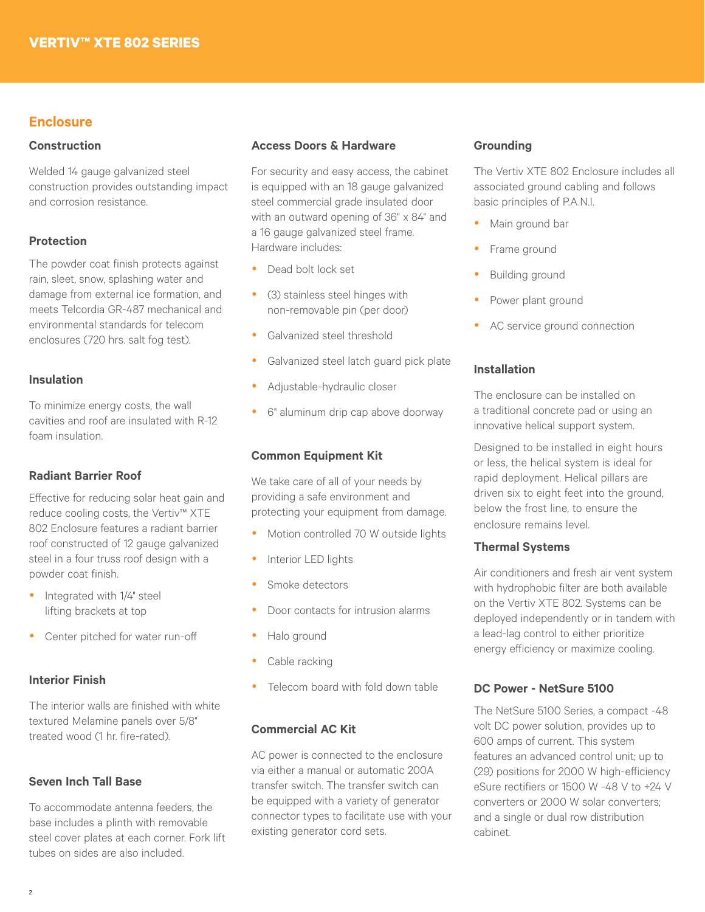#### **Enclosure**

#### **Construction**

Welded 14 gauge galvanized steel construction provides outstanding impact and corrosion resistance.

#### **Protection**

The powder coat finish protects against rain, sleet, snow, splashing water and damage from external ice formation, and meets Telcordia GR-487 mechanical and environmental standards for telecom enclosures (720 hrs. salt fog test).

#### **Insulation**

To minimize energy costs, the wall cavities and roof are insulated with R-12 foam insulation.

#### **Radiant Barrier Roof**

Effective for reducing solar heat gain and reduce cooling costs, the Vertiv™ XTE 802 Enclosure features a radiant barrier roof constructed of 12 gauge galvanized steel in a four truss roof design with a powder coat finish.

- Integrated with 1/4" steel lifting brackets at top
- Center pitched for water run-off

#### **Interior Finish**

The interior walls are finished with white textured Melamine panels over 5/8" treated wood (1 hr. fire-rated).

#### **Seven Inch Tall Base**

To accommodate antenna feeders, the base includes a plinth with removable steel cover plates at each corner. Fork lift tubes on sides are also included.

#### **Access Doors & Hardware**

For security and easy access, the cabinet is equipped with an 18 gauge galvanized steel commercial grade insulated door with an outward opening of 36" x 84" and a 16 gauge galvanized steel frame. Hardware includes:

- Dead bolt lock set
- (3) stainless steel hinges with non-removable pin (per door)
- Galvanized steel threshold
- Galvanized steel latch guard pick plate
- Adjustable-hydraulic closer
- 6" aluminum drip cap above doorway

#### **Common Equipment Kit**

We take care of all of your needs by providing a safe environment and protecting your equipment from damage.

- Motion controlled 70 W outside lights
- Interior LED lights
- Smoke detectors
- Door contacts for intrusion alarms
- Halo ground
- Cable racking
- Telecom board with fold down table

#### **Commercial AC Kit**

AC power is connected to the enclosure via either a manual or automatic 200A transfer switch. The transfer switch can be equipped with a variety of generator connector types to facilitate use with your existing generator cord sets.

#### **Grounding**

The Vertiv XTE 802 Enclosure includes all associated ground cabling and follows basic principles of P.A.N.I.

- Main ground bar
- Frame ground
- Building ground
- Power plant ground
- AC service ground connection

#### **Installation**

The enclosure can be installed on a traditional concrete pad or using an innovative helical support system.

Designed to be installed in eight hours or less, the helical system is ideal for rapid deployment. Helical pillars are driven six to eight feet into the ground, below the frost line, to ensure the enclosure remains level.

#### **Thermal Systems**

Air conditioners and fresh air vent system with hydrophobic filter are both available on the Vertiv XTE 802. Systems can be deployed independently or in tandem with a lead-lag control to either prioritize energy efficiency or maximize cooling.

#### **DC Power - NetSure 5100**

The NetSure 5100 Series, a compact -48 volt DC power solution, provides up to 600 amps of current. This system features an advanced control unit; up to (29) positions for 2000 W high-efficiency eSure rectifiers or 1500 W -48 V to +24 V converters or 2000 W solar converters; and a single or dual row distribution cabinet.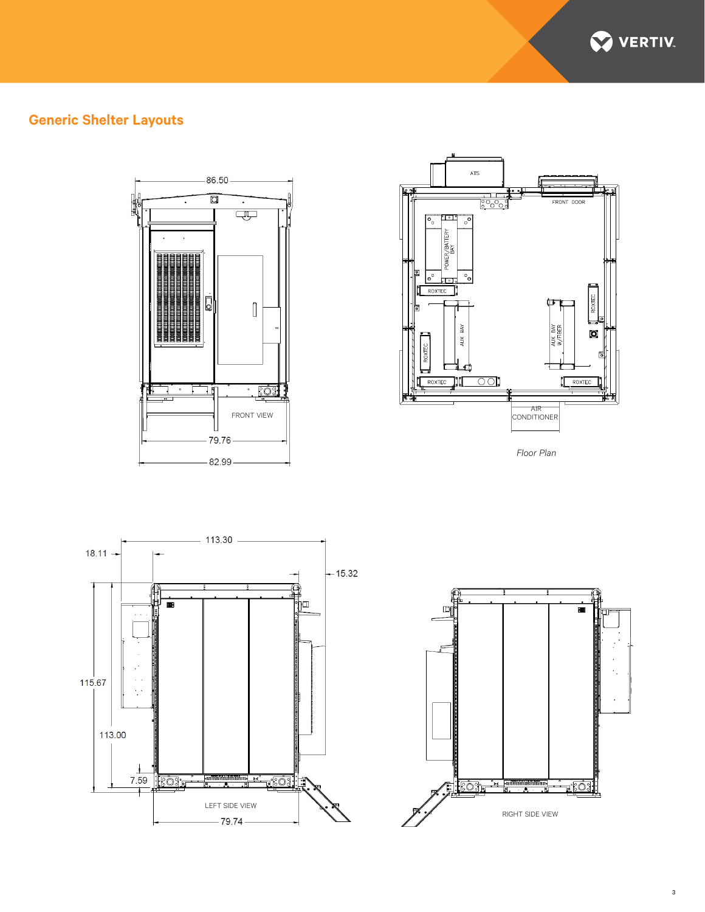

### **Generic Shelter Layouts**





*Floor Plan*